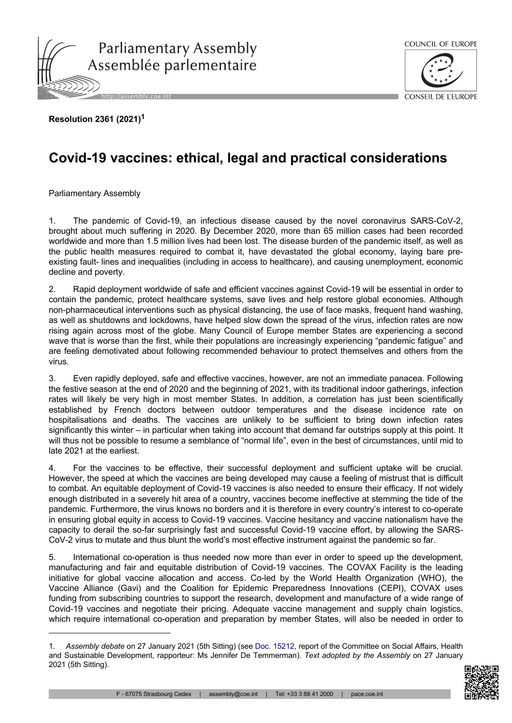



**Resolution 2361 (2021)<sup>1</sup>**

## **Covid-19 vaccines: ethical, legal and practical considerations**

Parliamentary Assembly

1. The pandemic of Covid-19, an infectious disease caused by the novel coronavirus SARS-CoV-2, brought about much suffering in 2020. By December 2020, more than 65 million cases had been recorded worldwide and more than 1.5 million lives had been lost. The disease burden of the pandemic itself, as well as the public health measures required to combat it, have devastated the global economy, laying bare preexisting fault- lines and inequalities (including in access to healthcare), and causing unemployment, economic decline and poverty.

2. Rapid deployment worldwide of safe and efficient vaccines against Covid-19 will be essential in order to contain the pandemic, protect healthcare systems, save lives and help restore global economies. Although non-pharmaceutical interventions such as physical distancing, the use of face masks, frequent hand washing, as well as shutdowns and lockdowns, have helped slow down the spread of the virus, infection rates are now rising again across most of the globe. Many Council of Europe member States are experiencing a second wave that is worse than the first, while their populations are increasingly experiencing "pandemic fatigue" and are feeling demotivated about following recommended behaviour to protect themselves and others from the virus.

3. Even rapidly deployed, safe and effective vaccines, however, are not an immediate panacea. Following the festive season at the end of 2020 and the beginning of 2021, with its traditional indoor gatherings, infection rates will likely be very high in most member States. In addition, a correlation has just been scientifically established by French doctors between outdoor temperatures and the disease incidence rate on hospitalisations and deaths. The vaccines are unlikely to be sufficient to bring down infection rates significantly this winter – in particular when taking into account that demand far outstrips supply at this point. It will thus not be possible to resume a semblance of "normal life", even in the best of circumstances, until mid to late 2021 at the earliest.

4. For the vaccines to be effective, their successful deployment and sufficient uptake will be crucial. However, the speed at which the vaccines are being developed may cause a feeling of mistrust that is difficult to combat. An equitable deployment of Covid-19 vaccines is also needed to ensure their efficacy. If not widely enough distributed in a severely hit area of a country, vaccines become ineffective at stemming the tide of the pandemic. Furthermore, the virus knows no borders and it is therefore in every country's interest to co-operate in ensuring global equity in access to Covid-19 vaccines. Vaccine hesitancy and vaccine nationalism have the capacity to derail the so-far surprisingly fast and successful Covid-19 vaccine effort, by allowing the SARS-CoV-2 virus to mutate and thus blunt the world's most effective instrument against the pandemic so far.

5. International co-operation is thus needed now more than ever in order to speed up the development, manufacturing and fair and equitable distribution of Covid-19 vaccines. The COVAX Facility is the leading initiative for global vaccine allocation and access. Co-led by the World Health Organization (WHO), the Vaccine Alliance (Gavi) and the Coalition for Epidemic Preparedness Innovations (CEPI), COVAX uses funding from subscribing countries to support the research, development and manufacture of a wide range of Covid-19 vaccines and negotiate their pricing. Adequate vaccine management and supply chain logistics, which require international co-operation and preparation by member States, will also be needed in order to

<sup>1.</sup> *Assembly debate* on 27 January 2021 (5th Sitting) (see [Doc. 15212](https://pace.coe.int/en/files/28925), report of the Committee on Social Affairs, Health and Sustainable Development, rapporteur: Ms Jennifer De Temmerman). *Text adopted by the Assembly* on 27 January 2021 (5th Sitting).

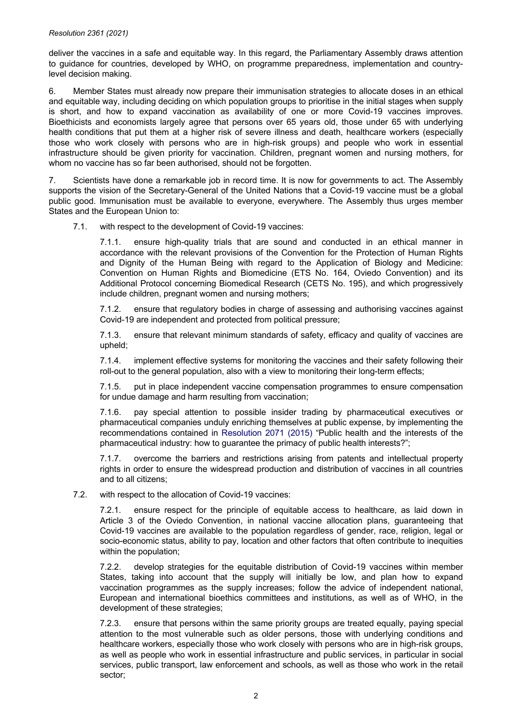## *Resolution 2361 (2021)*

deliver the vaccines in a safe and equitable way. In this regard, the Parliamentary Assembly draws attention to guidance for countries, developed by WHO, on programme preparedness, implementation and countrylevel decision making.

6. Member States must already now prepare their immunisation strategies to allocate doses in an ethical and equitable way, including deciding on which population groups to prioritise in the initial stages when supply is short, and how to expand vaccination as availability of one or more Covid-19 vaccines improves. Bioethicists and economists largely agree that persons over 65 years old, those under 65 with underlying health conditions that put them at a higher risk of severe illness and death, healthcare workers (especially those who work closely with persons who are in high-risk groups) and people who work in essential infrastructure should be given priority for vaccination. Children, pregnant women and nursing mothers, for whom no vaccine has so far been authorised, should not be forgotten.

7. Scientists have done a remarkable job in record time. It is now for governments to act. The Assembly supports the vision of the Secretary-General of the United Nations that a Covid-19 vaccine must be a global public good. Immunisation must be available to everyone, everywhere. The Assembly thus urges member States and the European Union to:

7.1. with respect to the development of Covid-19 vaccines:

7.1.1. ensure high-quality trials that are sound and conducted in an ethical manner in accordance with the relevant provisions of the Convention for the Protection of Human Rights and Dignity of the Human Being with regard to the Application of Biology and Medicine: Convention on Human Rights and Biomedicine (ETS No. 164, Oviedo Convention) and its Additional Protocol concerning Biomedical Research (CETS No. 195), and which progressively include children, pregnant women and nursing mothers;

7.1.2. ensure that regulatory bodies in charge of assessing and authorising vaccines against Covid-19 are independent and protected from political pressure;

7.1.3. ensure that relevant minimum standards of safety, efficacy and quality of vaccines are upheld;

7.1.4. implement effective systems for monitoring the vaccines and their safety following their roll-out to the general population, also with a view to monitoring their long-term effects;

7.1.5. put in place independent vaccine compensation programmes to ensure compensation for undue damage and harm resulting from vaccination;

7.1.6. pay special attention to possible insider trading by pharmaceutical executives or pharmaceutical companies unduly enriching themselves at public expense, by implementing the recommendations contained in [Resolution](https://pace.coe.int/en/files/22154) 2071 (2015) "Public health and the interests of the pharmaceutical industry: how to guarantee the primacy of public health interests?";

7.1.7. overcome the barriers and restrictions arising from patents and intellectual property rights in order to ensure the widespread production and distribution of vaccines in all countries and to all citizens;

7.2. with respect to the allocation of Covid-19 vaccines:

7.2.1. ensure respect for the principle of equitable access to healthcare, as laid down in Article 3 of the Oviedo Convention, in national vaccine allocation plans, guaranteeing that Covid-19 vaccines are available to the population regardless of gender, race, religion, legal or socio-economic status, ability to pay, location and other factors that often contribute to inequities within the population;

7.2.2. develop strategies for the equitable distribution of Covid-19 vaccines within member States, taking into account that the supply will initially be low, and plan how to expand vaccination programmes as the supply increases; follow the advice of independent national, European and international bioethics committees and institutions, as well as of WHO, in the development of these strategies;

7.2.3. ensure that persons within the same priority groups are treated equally, paying special attention to the most vulnerable such as older persons, those with underlying conditions and healthcare workers, especially those who work closely with persons who are in high-risk groups, as well as people who work in essential infrastructure and public services, in particular in social services, public transport, law enforcement and schools, as well as those who work in the retail sector;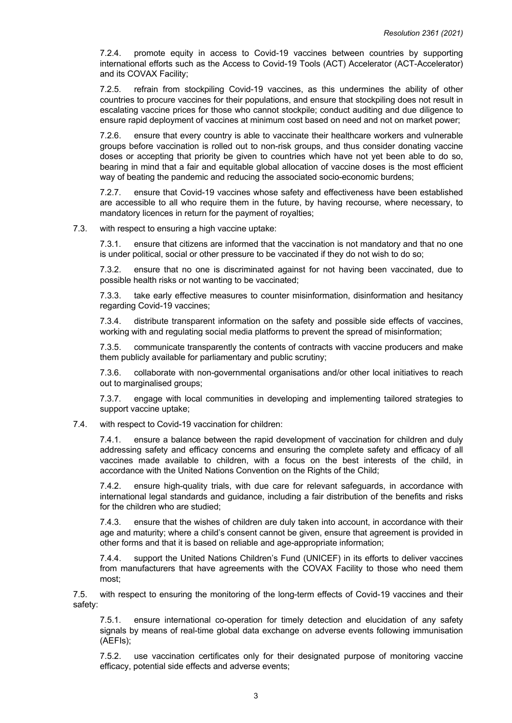7.2.4. promote equity in access to Covid-19 vaccines between countries by supporting international efforts such as the Access to Covid-19 Tools (ACT) Accelerator (ACT-Accelerator) and its COVAX Facility;

7.2.5. refrain from stockpiling Covid-19 vaccines, as this undermines the ability of other countries to procure vaccines for their populations, and ensure that stockpiling does not result in escalating vaccine prices for those who cannot stockpile; conduct auditing and due diligence to ensure rapid deployment of vaccines at minimum cost based on need and not on market power;

7.2.6. ensure that every country is able to vaccinate their healthcare workers and vulnerable groups before vaccination is rolled out to non-risk groups, and thus consider donating vaccine doses or accepting that priority be given to countries which have not yet been able to do so, bearing in mind that a fair and equitable global allocation of vaccine doses is the most efficient way of beating the pandemic and reducing the associated socio-economic burdens;

7.2.7. ensure that Covid-19 vaccines whose safety and effectiveness have been established are accessible to all who require them in the future, by having recourse, where necessary, to mandatory licences in return for the payment of royalties;

7.3. with respect to ensuring a high vaccine uptake:

7.3.1. ensure that citizens are informed that the vaccination is not mandatory and that no one is under political, social or other pressure to be vaccinated if they do not wish to do so;

7.3.2. ensure that no one is discriminated against for not having been vaccinated, due to possible health risks or not wanting to be vaccinated;

7.3.3. take early effective measures to counter misinformation, disinformation and hesitancy regarding Covid-19 vaccines;

7.3.4. distribute transparent information on the safety and possible side effects of vaccines, working with and regulating social media platforms to prevent the spread of misinformation;

7.3.5. communicate transparently the contents of contracts with vaccine producers and make them publicly available for parliamentary and public scrutiny;

7.3.6. collaborate with non-governmental organisations and/or other local initiatives to reach out to marginalised groups;

7.3.7. engage with local communities in developing and implementing tailored strategies to support vaccine uptake;

## 7.4. with respect to Covid-19 vaccination for children:

7.4.1. ensure a balance between the rapid development of vaccination for children and duly addressing safety and efficacy concerns and ensuring the complete safety and efficacy of all vaccines made available to children, with a focus on the best interests of the child, in accordance with the United Nations Convention on the Rights of the Child;

7.4.2. ensure high-quality trials, with due care for relevant safeguards, in accordance with international legal standards and guidance, including a fair distribution of the benefits and risks for the children who are studied;

7.4.3. ensure that the wishes of children are duly taken into account, in accordance with their age and maturity; where a child's consent cannot be given, ensure that agreement is provided in other forms and that it is based on reliable and age-appropriate information;

7.4.4. support the United Nations Children's Fund (UNICEF) in its efforts to deliver vaccines from manufacturers that have agreements with the COVAX Facility to those who need them most;

7.5. with respect to ensuring the monitoring of the long-term effects of Covid-19 vaccines and their safety:

7.5.1. ensure international co-operation for timely detection and elucidation of any safety signals by means of real-time global data exchange on adverse events following immunisation (AEFIs);

7.5.2. use vaccination certificates only for their designated purpose of monitoring vaccine efficacy, potential side effects and adverse events;